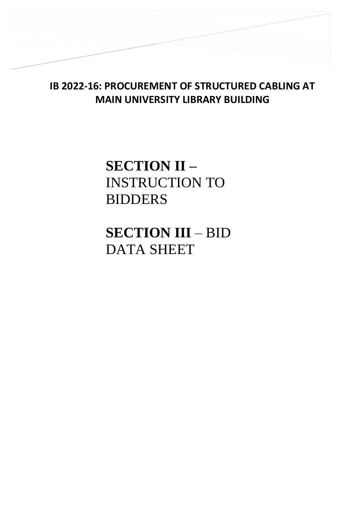## **IB 2022-16: PROCUREMENT OF STRUCTURED CABLING AT MAIN UNIVERSITY LIBRARY BUILDING**

# **SECTION II –** INSTRUCTION TO BIDDERS

**SECTION III** – BID DATA SHEET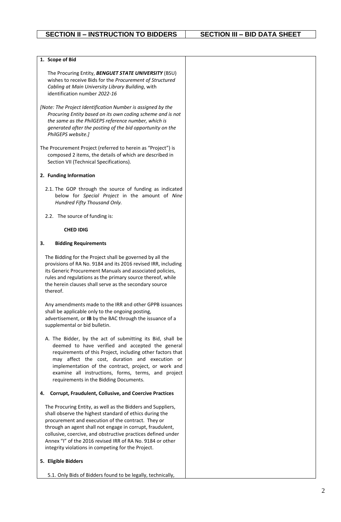$\overline{\phantom{0}}$ 

| 1. Scope of Bid                                                                                                                                                                                                                                                                                                                                                                                                              |  |
|------------------------------------------------------------------------------------------------------------------------------------------------------------------------------------------------------------------------------------------------------------------------------------------------------------------------------------------------------------------------------------------------------------------------------|--|
| The Procuring Entity, BENGUET STATE UNIVERSITY (BSU)<br>wishes to receive Bids for the Procurement of Structured<br>Cabling at Main University Library Building, with<br>identification number 2022-16                                                                                                                                                                                                                       |  |
|                                                                                                                                                                                                                                                                                                                                                                                                                              |  |
| [Note: The Project Identification Number is assigned by the<br>Procuring Entity based on its own coding scheme and is not<br>the same as the PhilGEPS reference number, which is<br>generated after the posting of the bid opportunity on the<br>PhilGEPS website.]                                                                                                                                                          |  |
| The Procurement Project (referred to herein as "Project") is<br>composed 2 items, the details of which are described in<br>Section VII (Technical Specifications).                                                                                                                                                                                                                                                           |  |
| 2. Funding Information                                                                                                                                                                                                                                                                                                                                                                                                       |  |
| 2.1. The GOP through the source of funding as indicated<br>below for Special Project in the amount of Nine<br>Hundred Fifty Thousand Only.                                                                                                                                                                                                                                                                                   |  |
| 2.2. The source of funding is:                                                                                                                                                                                                                                                                                                                                                                                               |  |
| <b>CHED IDIG</b>                                                                                                                                                                                                                                                                                                                                                                                                             |  |
| <b>Bidding Requirements</b><br>3.                                                                                                                                                                                                                                                                                                                                                                                            |  |
| The Bidding for the Project shall be governed by all the<br>provisions of RA No. 9184 and its 2016 revised IRR, including<br>its Generic Procurement Manuals and associated policies,<br>rules and regulations as the primary source thereof, while<br>the herein clauses shall serve as the secondary source<br>thereof.                                                                                                    |  |
| Any amendments made to the IRR and other GPPB issuances<br>shall be applicable only to the ongoing posting,<br>advertisement, or IB by the BAC through the issuance of a<br>supplemental or bid bulletin.                                                                                                                                                                                                                    |  |
| A. The Bidder, by the act of submitting its Bid, shall be<br>deemed to have verified and accepted the general<br>requirements of this Project, including other factors that<br>may affect the cost, duration and execution or<br>implementation of the contract, project, or work and<br>examine all instructions, forms, terms, and project<br>requirements in the Bidding Documents.                                       |  |
| <b>Corrupt, Fraudulent, Collusive, and Coercive Practices</b><br>4.                                                                                                                                                                                                                                                                                                                                                          |  |
| The Procuring Entity, as well as the Bidders and Suppliers,<br>shall observe the highest standard of ethics during the<br>procurement and execution of the contract. They or<br>through an agent shall not engage in corrupt, fraudulent,<br>collusive, coercive, and obstructive practices defined under<br>Annex "I" of the 2016 revised IRR of RA No. 9184 or other<br>integrity violations in competing for the Project. |  |
| 5. Eligible Bidders                                                                                                                                                                                                                                                                                                                                                                                                          |  |
| 5.1. Only Bids of Bidders found to be legally, technically,                                                                                                                                                                                                                                                                                                                                                                  |  |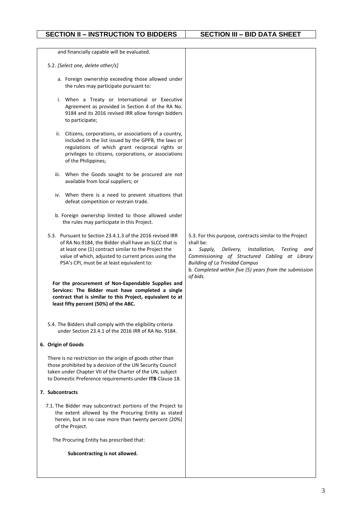$\overline{\phantom{0}}$ 

| and financially capable will be evaluated.                                                                                                                                                                                                                                      |                                                                                                                                                                                                                                                                                                                 |
|---------------------------------------------------------------------------------------------------------------------------------------------------------------------------------------------------------------------------------------------------------------------------------|-----------------------------------------------------------------------------------------------------------------------------------------------------------------------------------------------------------------------------------------------------------------------------------------------------------------|
| 5.2. [Select one, delete other/s]                                                                                                                                                                                                                                               |                                                                                                                                                                                                                                                                                                                 |
| a. Foreign ownership exceeding those allowed under<br>the rules may participate pursuant to:                                                                                                                                                                                    |                                                                                                                                                                                                                                                                                                                 |
| i. When a Treaty or International or Executive<br>Agreement as provided in Section 4 of the RA No.<br>9184 and its 2016 revised IRR allow foreign bidders<br>to participate;                                                                                                    |                                                                                                                                                                                                                                                                                                                 |
| Citizens, corporations, or associations of a country,<br>ii.<br>included in the list issued by the GPPB, the laws or<br>regulations of which grant reciprocal rights or<br>privileges to citizens, corporations, or associations<br>of the Philippines;                         |                                                                                                                                                                                                                                                                                                                 |
| When the Goods sought to be procured are not<br>iii.<br>available from local suppliers; or                                                                                                                                                                                      |                                                                                                                                                                                                                                                                                                                 |
| iv. When there is a need to prevent situations that<br>defeat competition or restrain trade.                                                                                                                                                                                    |                                                                                                                                                                                                                                                                                                                 |
| b. Foreign ownership limited to those allowed under<br>the rules may participate in this Project.                                                                                                                                                                               |                                                                                                                                                                                                                                                                                                                 |
| 5.3. Pursuant to Section 23.4.1.3 of the 2016 revised IRR<br>of RA No.9184, the Bidder shall have an SLCC that is<br>at least one (1) contract similar to the Project the<br>value of which, adjusted to current prices using the<br>PSA's CPI, must be at least equivalent to: | 5.3. For this purpose, contracts similar to the Project<br>shall be:<br>Delivery,<br>Installation,<br>Supply,<br><b>Testing</b><br>and<br>а. -<br>Commissioning of Structured Cabling at Library<br><b>Building of La Trinidad Campus</b><br>b. Completed within five (5) years from the submission<br>of bids. |
| For the procurement of Non-Expendable Supplies and<br>Services: The Bidder must have completed a single<br>contract that is similar to this Project, equivalent to at<br>least fifty percent (50%) of the ABC.                                                                  |                                                                                                                                                                                                                                                                                                                 |
| 5.4. The Bidders shall comply with the eligibility criteria<br>under Section 23.4.1 of the 2016 IRR of RA No. 9184.                                                                                                                                                             |                                                                                                                                                                                                                                                                                                                 |
| 6. Origin of Goods                                                                                                                                                                                                                                                              |                                                                                                                                                                                                                                                                                                                 |
| There is no restriction on the origin of goods other than<br>those prohibited by a decision of the UN Security Council<br>taken under Chapter VII of the Charter of the UN, subject<br>to Domestic Preference requirements under ITB Clause 18.                                 |                                                                                                                                                                                                                                                                                                                 |
| 7. Subcontracts                                                                                                                                                                                                                                                                 |                                                                                                                                                                                                                                                                                                                 |
| 7.1. The Bidder may subcontract portions of the Project to<br>the extent allowed by the Procuring Entity as stated<br>herein, but in no case more than twenty percent (20%)<br>of the Project.                                                                                  |                                                                                                                                                                                                                                                                                                                 |
| The Procuring Entity has prescribed that:                                                                                                                                                                                                                                       |                                                                                                                                                                                                                                                                                                                 |
| Subcontracting is not allowed.                                                                                                                                                                                                                                                  |                                                                                                                                                                                                                                                                                                                 |
|                                                                                                                                                                                                                                                                                 |                                                                                                                                                                                                                                                                                                                 |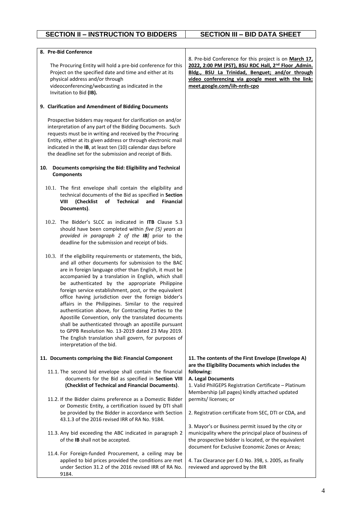| 8. Pre-Bid Conference                                                                                                       |                                                                                                                      |
|-----------------------------------------------------------------------------------------------------------------------------|----------------------------------------------------------------------------------------------------------------------|
|                                                                                                                             | 8. Pre-bid Conference for this project is on March 17,                                                               |
| The Procuring Entity will hold a pre-bid conference for this<br>Project on the specified date and time and either at its    | 2022, 2:00 PM (PST), BSU RDC Hall, 2 <sup>nd</sup> Floor , Admin.<br>Bldg., BSU La Trinidad, Benguet; and/or through |
| physical address and/or through                                                                                             | video conferencing via google meet with the link:                                                                    |
| videoconferencing/webcasting as indicated in the                                                                            | meet.google.com/iih-nrds-cpo                                                                                         |
| Invitation to Bid (IB).                                                                                                     |                                                                                                                      |
|                                                                                                                             |                                                                                                                      |
| 9. Clarification and Amendment of Bidding Documents                                                                         |                                                                                                                      |
| Prospective bidders may request for clarification on and/or                                                                 |                                                                                                                      |
| interpretation of any part of the Bidding Documents. Such                                                                   |                                                                                                                      |
| requests must be in writing and received by the Procuring<br>Entity, either at its given address or through electronic mail |                                                                                                                      |
| indicated in the IB, at least ten (10) calendar days before                                                                 |                                                                                                                      |
| the deadline set for the submission and receipt of Bids.                                                                    |                                                                                                                      |
| Documents comprising the Bid: Eligibility and Technical<br>10.                                                              |                                                                                                                      |
| <b>Components</b>                                                                                                           |                                                                                                                      |
| 10.1. The first envelope shall contain the eligibility and                                                                  |                                                                                                                      |
| technical documents of the Bid as specified in Section                                                                      |                                                                                                                      |
| of<br><b>VIII</b><br>(Checklist<br>Technical<br><b>Financial</b><br>and                                                     |                                                                                                                      |
| Documents).                                                                                                                 |                                                                                                                      |
| 10.2. The Bidder's SLCC as indicated in ITB Clause 5.3                                                                      |                                                                                                                      |
| should have been completed within five (5) years as                                                                         |                                                                                                                      |
| provided in paragraph 2 of the IB] prior to the                                                                             |                                                                                                                      |
| deadline for the submission and receipt of bids.                                                                            |                                                                                                                      |
| 10.3. If the eligibility requirements or statements, the bids,                                                              |                                                                                                                      |
| and all other documents for submission to the BAC                                                                           |                                                                                                                      |
| are in foreign language other than English, it must be                                                                      |                                                                                                                      |
| accompanied by a translation in English, which shall                                                                        |                                                                                                                      |
| be authenticated by the appropriate Philippine<br>foreign service establishment, post, or the equivalent                    |                                                                                                                      |
| office having jurisdiction over the foreign bidder's                                                                        |                                                                                                                      |
| affairs in the Philippines. Similar to the required                                                                         |                                                                                                                      |
| authentication above, for Contracting Parties to the                                                                        |                                                                                                                      |
| Apostille Convention, only the translated documents                                                                         |                                                                                                                      |
| shall be authenticated through an apostille pursuant                                                                        |                                                                                                                      |
| to GPPB Resolution No. 13-2019 dated 23 May 2019.                                                                           |                                                                                                                      |
| The English translation shall govern, for purposes of<br>interpretation of the bid.                                         |                                                                                                                      |
|                                                                                                                             |                                                                                                                      |
| 11. Documents comprising the Bid: Financial Component                                                                       | 11. The contents of the First Envelope (Envelope A)<br>are the Eligibility Documents which includes the              |
| 11.1. The second bid envelope shall contain the financial                                                                   | following:                                                                                                           |
| documents for the Bid as specified in Section VIII                                                                          | A. Legal Documents                                                                                                   |
| (Checklist of Technical and Financial Documents).                                                                           | 1. Valid PhilGEPS Registration Certificate - Platinum                                                                |
|                                                                                                                             | Membership (all pages) kindly attached updated                                                                       |
| 11.2. If the Bidder claims preference as a Domestic Bidder<br>or Domestic Entity, a certification issued by DTI shall       | permits/licenses; or                                                                                                 |
| be provided by the Bidder in accordance with Section                                                                        | 2. Registration certificate from SEC, DTI or CDA, and                                                                |
| 43.1.3 of the 2016 revised IRR of RA No. 9184.                                                                              |                                                                                                                      |
|                                                                                                                             | 3. Mayor's or Business permit issued by the city or                                                                  |
| 11.3. Any bid exceeding the ABC indicated in paragraph 2                                                                    | municipality where the principal place of business of                                                                |
| of the IB shall not be accepted.                                                                                            | the prospective bidder is located, or the equivalent<br>document for Exclusive Economic Zones or Areas;              |
| 11.4. For Foreign-funded Procurement, a ceiling may be                                                                      |                                                                                                                      |
| applied to bid prices provided the conditions are met                                                                       | 4. Tax Clearance per E.O No. 398, s. 2005, as finally                                                                |
| under Section 31.2 of the 2016 revised IRR of RA No.                                                                        | reviewed and approved by the BIR                                                                                     |
| 9184.                                                                                                                       |                                                                                                                      |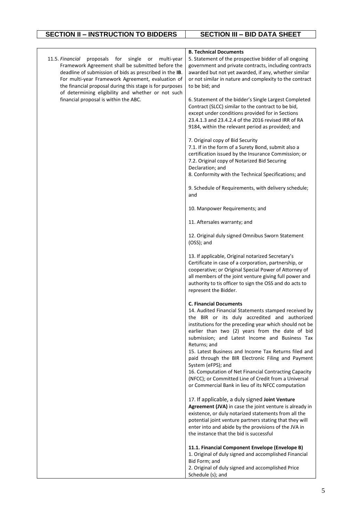$\overline{\phantom{0}}$ 

|                                                                                                               | <b>B. Technical Documents</b>                                                                                     |
|---------------------------------------------------------------------------------------------------------------|-------------------------------------------------------------------------------------------------------------------|
| 11.5. Financial<br>proposals<br>for<br>single<br>multi-year<br>or                                             | 5. Statement of the prospective bidder of all ongoing                                                             |
| Framework Agreement shall be submitted before the                                                             | government and private contracts, including contracts                                                             |
| deadline of submission of bids as prescribed in the IB.                                                       | awarded but not yet awarded, if any, whether similar                                                              |
| For multi-year Framework Agreement, evaluation of<br>the financial proposal during this stage is for purposes | or not similar in nature and complexity to the contract<br>to be bid; and                                         |
| of determining eligibility and whether or not such                                                            |                                                                                                                   |
| financial proposal is within the ABC.                                                                         | 6. Statement of the bidder's Single Largest Completed                                                             |
|                                                                                                               | Contract (SLCC) similar to the contract to be bid,                                                                |
|                                                                                                               | except under conditions provided for in Sections                                                                  |
|                                                                                                               | 23.4.1.3 and 23.4.2.4 of the 2016 revised IRR of RA                                                               |
|                                                                                                               | 9184, within the relevant period as provided; and                                                                 |
|                                                                                                               | 7. Original copy of Bid Security                                                                                  |
|                                                                                                               | 7.1. If in the form of a Surety Bond, submit also a                                                               |
|                                                                                                               | certification issued by the Insurance Commission; or                                                              |
|                                                                                                               | 7.2. Original copy of Notarized Bid Securing                                                                      |
|                                                                                                               | Declaration; and<br>8. Conformity with the Technical Specifications; and                                          |
|                                                                                                               |                                                                                                                   |
|                                                                                                               | 9. Schedule of Requirements, with delivery schedule;<br>and                                                       |
|                                                                                                               | 10. Manpower Requirements; and                                                                                    |
|                                                                                                               | 11. Aftersales warranty; and                                                                                      |
|                                                                                                               | 12. Original duly signed Omnibus Sworn Statement<br>(OSS); and                                                    |
|                                                                                                               | 13. If applicable, Original notarized Secretary's                                                                 |
|                                                                                                               | Certificate in case of a corporation, partnership, or                                                             |
|                                                                                                               | cooperative; or Original Special Power of Attorney of                                                             |
|                                                                                                               | all members of the joint venture giving full power and<br>authority to tis officer to sign the OSS and do acts to |
|                                                                                                               | represent the Bidder.                                                                                             |
|                                                                                                               |                                                                                                                   |
|                                                                                                               | <b>C. Financial Documents</b>                                                                                     |
|                                                                                                               | 14. Audited Financial Statements stamped received by                                                              |
|                                                                                                               | the BIR or its duly accredited and authorized<br>institutions for the preceding year which should not be          |
|                                                                                                               | earlier than two (2) years from the date of bid                                                                   |
|                                                                                                               | submission; and Latest Income and Business Tax                                                                    |
|                                                                                                               | Returns; and                                                                                                      |
|                                                                                                               | 15. Latest Business and Income Tax Returns filed and                                                              |
|                                                                                                               | paid through the BIR Electronic Filing and Payment<br>System (eFPS); and                                          |
|                                                                                                               | 16. Computation of Net Financial Contracting Capacity                                                             |
|                                                                                                               | (NFCC); or Committed Line of Credit from a Universal                                                              |
|                                                                                                               | or Commercial Bank in lieu of its NFCC computation                                                                |
|                                                                                                               | 17. If applicable, a duly signed Joint Venture                                                                    |
|                                                                                                               | Agreement (JVA) in case the joint venture is already in                                                           |
|                                                                                                               | existence, or duly notarized statements from all the                                                              |
|                                                                                                               | potential joint venture partners stating that they will                                                           |
|                                                                                                               | enter into and abide by the provisions of the JVA in<br>the instance that the bid is successful                   |
|                                                                                                               |                                                                                                                   |
|                                                                                                               | 11.1. Financial Component Envelope (Envelope B)                                                                   |
|                                                                                                               | 1. Original of duly signed and accomplished Financial                                                             |
|                                                                                                               | Bid Form; and<br>2. Original of duly signed and accomplished Price                                                |
|                                                                                                               | Schedule (s); and                                                                                                 |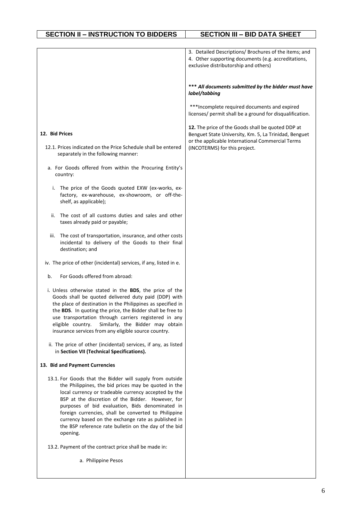|                                                                                                                                                                                                                                                                                                                                                                                                                                                                      | 3. Detailed Descriptions/ Brochures of the items; and<br>4. Other supporting documents (e.g. accreditations,<br>exclusive distributorship and others) |
|----------------------------------------------------------------------------------------------------------------------------------------------------------------------------------------------------------------------------------------------------------------------------------------------------------------------------------------------------------------------------------------------------------------------------------------------------------------------|-------------------------------------------------------------------------------------------------------------------------------------------------------|
|                                                                                                                                                                                                                                                                                                                                                                                                                                                                      | *** All documents submitted by the bidder must have<br>label/tabbing                                                                                  |
|                                                                                                                                                                                                                                                                                                                                                                                                                                                                      | ***Incomplete required documents and expired<br>licenses/ permit shall be a ground for disqualification.                                              |
| 12. Bid Prices                                                                                                                                                                                                                                                                                                                                                                                                                                                       | 12. The price of the Goods shall be quoted DDP at<br>Benguet State University, Km. 5, La Trinidad, Benguet                                            |
| 12.1. Prices indicated on the Price Schedule shall be entered<br>separately in the following manner:                                                                                                                                                                                                                                                                                                                                                                 | or the applicable International Commercial Terms<br>(INCOTERMS) for this project.                                                                     |
| a. For Goods offered from within the Procuring Entity's<br>country:                                                                                                                                                                                                                                                                                                                                                                                                  |                                                                                                                                                       |
| The price of the Goods quoted EXW (ex-works, ex-<br>i.<br>factory, ex-warehouse, ex-showroom, or off-the-<br>shelf, as applicable);                                                                                                                                                                                                                                                                                                                                  |                                                                                                                                                       |
| The cost of all customs duties and sales and other<br>ii.<br>taxes already paid or payable;                                                                                                                                                                                                                                                                                                                                                                          |                                                                                                                                                       |
| The cost of transportation, insurance, and other costs<br>iii.<br>incidental to delivery of the Goods to their final<br>destination; and                                                                                                                                                                                                                                                                                                                             |                                                                                                                                                       |
| iv. The price of other (incidental) services, if any, listed in e.                                                                                                                                                                                                                                                                                                                                                                                                   |                                                                                                                                                       |
| For Goods offered from abroad:<br>b.                                                                                                                                                                                                                                                                                                                                                                                                                                 |                                                                                                                                                       |
| i. Unless otherwise stated in the <b>BDS</b> , the price of the<br>Goods shall be quoted delivered duty paid (DDP) with<br>the place of destination in the Philippines as specified in<br>the BDS. In quoting the price, the Bidder shall be free to<br>use transportation through carriers registered in any<br>Similarly, the Bidder may obtain<br>eligible country.<br>insurance services from any eligible source country.                                       |                                                                                                                                                       |
| ii. The price of other (incidental) services, if any, as listed<br>in Section VII (Technical Specifications).                                                                                                                                                                                                                                                                                                                                                        |                                                                                                                                                       |
| 13. Bid and Payment Currencies                                                                                                                                                                                                                                                                                                                                                                                                                                       |                                                                                                                                                       |
| 13.1. For Goods that the Bidder will supply from outside<br>the Philippines, the bid prices may be quoted in the<br>local currency or tradeable currency accepted by the<br>BSP at the discretion of the Bidder. However, for<br>purposes of bid evaluation, Bids denominated in<br>foreign currencies, shall be converted to Philippine<br>currency based on the exchange rate as published in<br>the BSP reference rate bulletin on the day of the bid<br>opening. |                                                                                                                                                       |
| 13.2. Payment of the contract price shall be made in:                                                                                                                                                                                                                                                                                                                                                                                                                |                                                                                                                                                       |
| a. Philippine Pesos                                                                                                                                                                                                                                                                                                                                                                                                                                                  |                                                                                                                                                       |

 $\mathsf{l}$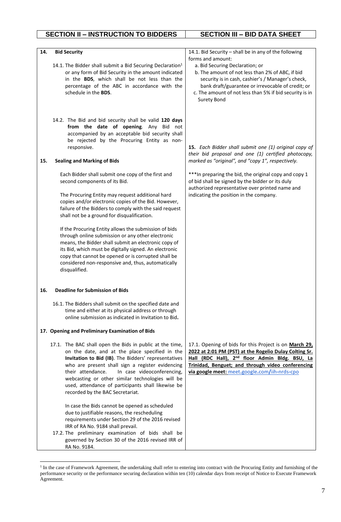| 14. | <b>Bid Security</b><br>14.1. The Bidder shall submit a Bid Securing Declaration <sup>1</sup><br>or any form of Bid Security in the amount indicated<br>in the BDS, which shall be not less than the<br>percentage of the ABC in accordance with the<br>schedule in the BDS.                                                                                                                                             | 14.1. Bid Security - shall be in any of the following<br>forms and amount:<br>a. Bid Securing Declaration; or<br>b. The amount of not less than 2% of ABC, if bid<br>security is in cash, cashier's / Manager's check,<br>bank draft/guarantee or irrevocable of credit; or<br>c. The amount of not less than 5% if bid security is in<br>Surety Bond |
|-----|-------------------------------------------------------------------------------------------------------------------------------------------------------------------------------------------------------------------------------------------------------------------------------------------------------------------------------------------------------------------------------------------------------------------------|-------------------------------------------------------------------------------------------------------------------------------------------------------------------------------------------------------------------------------------------------------------------------------------------------------------------------------------------------------|
| 15. | 14.2. The Bid and bid security shall be valid 120 days<br>from the date of opening. Any Bid not<br>accompanied by an acceptable bid security shall<br>be rejected by the Procuring Entity as non-<br>responsive.<br><b>Sealing and Marking of Bids</b>                                                                                                                                                                  | 15. Each Bidder shall submit one (1) original copy of<br>their bid proposal and one (1) certified photocopy,<br>marked as "original", and "copy 1", respectively.                                                                                                                                                                                     |
|     |                                                                                                                                                                                                                                                                                                                                                                                                                         |                                                                                                                                                                                                                                                                                                                                                       |
|     | Each Bidder shall submit one copy of the first and<br>second components of its Bid.                                                                                                                                                                                                                                                                                                                                     | *** In preparing the bid, the original copy and copy 1<br>of bid shall be signed by the bidder or its duly<br>authorized representative over printed name and                                                                                                                                                                                         |
|     | The Procuring Entity may request additional hard<br>copies and/or electronic copies of the Bid. However,<br>failure of the Bidders to comply with the said request<br>shall not be a ground for disqualification.                                                                                                                                                                                                       | indicating the position in the company.                                                                                                                                                                                                                                                                                                               |
|     | If the Procuring Entity allows the submission of bids<br>through online submission or any other electronic<br>means, the Bidder shall submit an electronic copy of<br>its Bid, which must be digitally signed. An electronic<br>copy that cannot be opened or is corrupted shall be<br>considered non-responsive and, thus, automatically<br>disqualified.                                                              |                                                                                                                                                                                                                                                                                                                                                       |
| 16. | <b>Deadline for Submission of Bids</b>                                                                                                                                                                                                                                                                                                                                                                                  |                                                                                                                                                                                                                                                                                                                                                       |
|     | 16.1. The Bidders shall submit on the specified date and<br>time and either at its physical address or through<br>online submission as indicated in Invitation to Bid.                                                                                                                                                                                                                                                  |                                                                                                                                                                                                                                                                                                                                                       |
|     | 17. Opening and Preliminary Examination of Bids                                                                                                                                                                                                                                                                                                                                                                         |                                                                                                                                                                                                                                                                                                                                                       |
|     | 17.1. The BAC shall open the Bids in public at the time,<br>on the date, and at the place specified in the<br>Invitation to Bid (IB). The Bidders' representatives<br>who are present shall sign a register evidencing<br>In case videoconferencing,<br>their attendance.<br>webcasting or other similar technologies will be<br>used, attendance of participants shall likewise be<br>recorded by the BAC Secretariat. | 17.1. Opening of bids for this Project is on March 29,<br>2022 at 2:01 PM (PST) at the Rogelio Dulay Colting Sr.<br>Hall (RDC Hall), 2 <sup>nd</sup> floor Admin Bldg. BSU, La<br>Trinidad, Benguet; and through video conferencing<br>via google meet: meet.google.com/iih-nrds-cpo                                                                  |
|     | In case the Bids cannot be opened as scheduled<br>due to justifiable reasons, the rescheduling<br>requirements under Section 29 of the 2016 revised<br>IRR of RA No. 9184 shall prevail.<br>17.2. The preliminary examination of bids shall be<br>governed by Section 30 of the 2016 revised IRR of<br>RA No. 9184.                                                                                                     |                                                                                                                                                                                                                                                                                                                                                       |

<sup>&</sup>lt;sup>1</sup> In the case of Framework Agreement, the undertaking shall refer to entering into contract with the Procuring Entity and furnishing of the performance security or the performance securing declaration within ten (10) calendar days from receipt of Notice to Execute Framework Agreement.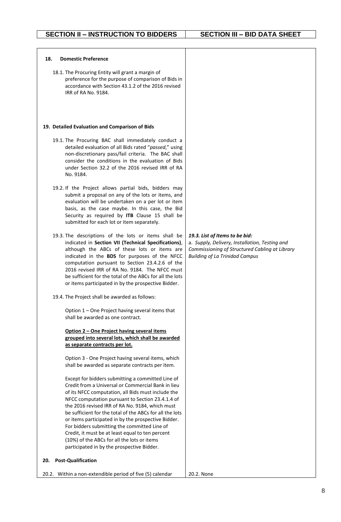| <b>Domestic Preference</b><br>18.                                                                                                                                                                                                                                                                                                                                                                                                                                                                                                                                                        |                                                                                                                                                                             |
|------------------------------------------------------------------------------------------------------------------------------------------------------------------------------------------------------------------------------------------------------------------------------------------------------------------------------------------------------------------------------------------------------------------------------------------------------------------------------------------------------------------------------------------------------------------------------------------|-----------------------------------------------------------------------------------------------------------------------------------------------------------------------------|
| 18.1. The Procuring Entity will grant a margin of<br>preference for the purpose of comparison of Bids in<br>accordance with Section 43.1.2 of the 2016 revised<br>IRR of RA No. 9184.                                                                                                                                                                                                                                                                                                                                                                                                    |                                                                                                                                                                             |
| 19. Detailed Evaluation and Comparison of Bids                                                                                                                                                                                                                                                                                                                                                                                                                                                                                                                                           |                                                                                                                                                                             |
| 19.1. The Procuring BAC shall immediately conduct a<br>detailed evaluation of all Bids rated "passed," using<br>non-discretionary pass/fail criteria. The BAC shall<br>consider the conditions in the evaluation of Bids<br>under Section 32.2 of the 2016 revised IRR of RA<br>No. 9184.                                                                                                                                                                                                                                                                                                |                                                                                                                                                                             |
| 19.2. If the Project allows partial bids, bidders may<br>submit a proposal on any of the lots or items, and<br>evaluation will be undertaken on a per lot or item<br>basis, as the case maybe. In this case, the Bid<br>Security as required by ITB Clause 15 shall be<br>submitted for each lot or item separately.                                                                                                                                                                                                                                                                     |                                                                                                                                                                             |
| 19.3. The descriptions of the lots or items shall be<br>indicated in Section VII (Technical Specifications),<br>although the ABCs of these lots or items are<br>indicated in the BDS for purposes of the NFCC<br>computation pursuant to Section 23.4.2.6 of the<br>2016 revised IRR of RA No. 9184. The NFCC must<br>be sufficient for the total of the ABCs for all the lots<br>or items participated in by the prospective Bidder.                                                                                                                                                    | 19.3. List of Items to be bid:<br>a. Supply, Delivery, Installation, Testing and<br>Commissioning of Structured Cabling at Library<br><b>Building of La Trinidad Campus</b> |
| 19.4. The Project shall be awarded as follows:                                                                                                                                                                                                                                                                                                                                                                                                                                                                                                                                           |                                                                                                                                                                             |
| Option 1 - One Project having several items that<br>shall be awarded as one contract.                                                                                                                                                                                                                                                                                                                                                                                                                                                                                                    |                                                                                                                                                                             |
| Option 2 - One Project having several items<br>grouped into several lots, which shall be awarded<br>as separate contracts per lot.                                                                                                                                                                                                                                                                                                                                                                                                                                                       |                                                                                                                                                                             |
| Option 3 - One Project having several items, which<br>shall be awarded as separate contracts per item.                                                                                                                                                                                                                                                                                                                                                                                                                                                                                   |                                                                                                                                                                             |
| Except for bidders submitting a committed Line of<br>Credit from a Universal or Commercial Bank in lieu<br>of its NFCC computation, all Bids must include the<br>NFCC computation pursuant to Section 23.4.1.4 of<br>the 2016 revised IRR of RA No. 9184, which must<br>be sufficient for the total of the ABCs for all the lots<br>or items participated in by the prospective Bidder.<br>For bidders submitting the committed Line of<br>Credit, it must be at least equal to ten percent<br>(10%) of the ABCs for all the lots or items<br>participated in by the prospective Bidder. |                                                                                                                                                                             |
| <b>Post-Qualification</b><br>20.                                                                                                                                                                                                                                                                                                                                                                                                                                                                                                                                                         |                                                                                                                                                                             |
| Within a non-extendible period of five (5) calendar<br>20.2.                                                                                                                                                                                                                                                                                                                                                                                                                                                                                                                             | 20.2. None                                                                                                                                                                  |